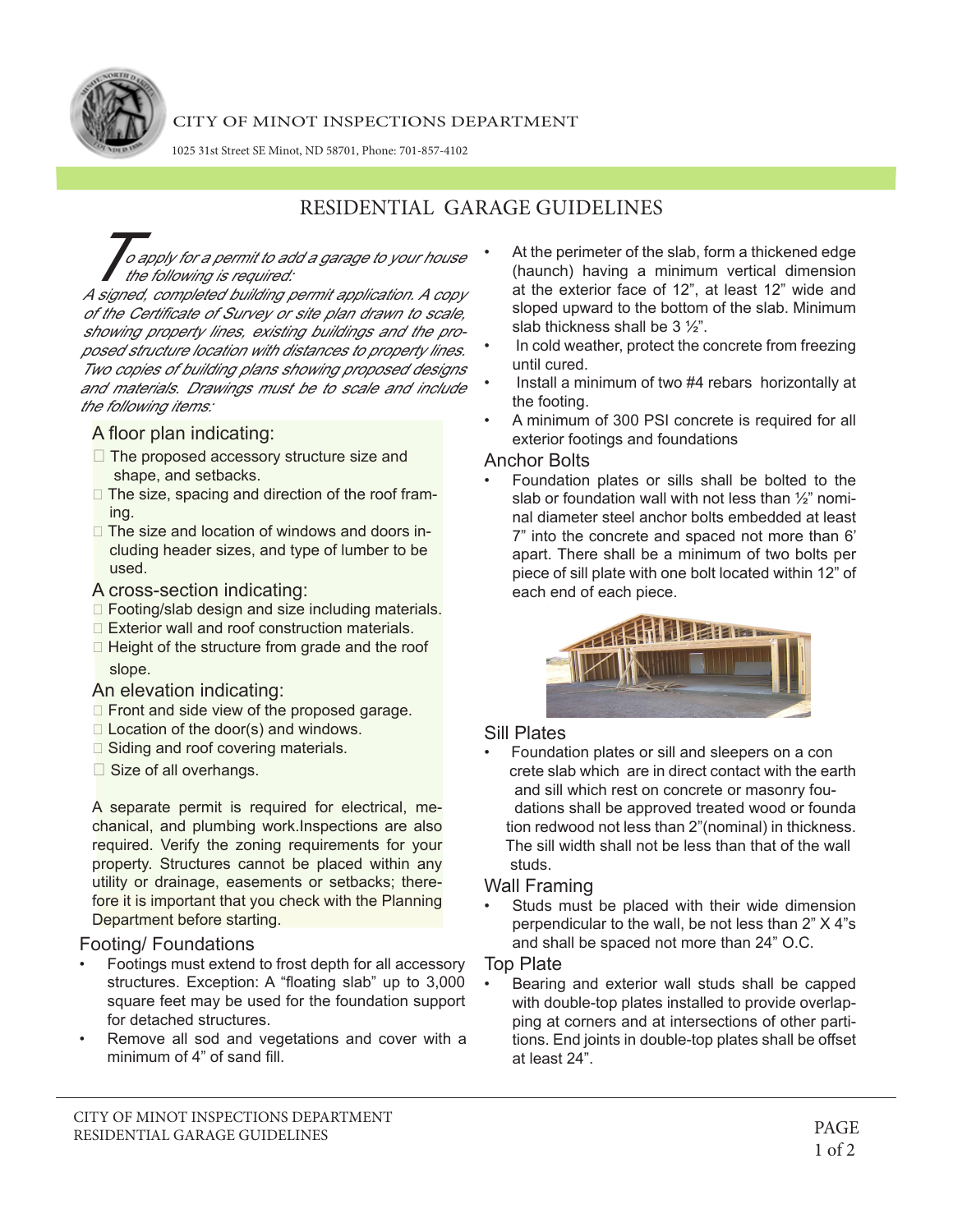

### CITY OF MINOT INSPECTIONS DEPARTMENT

1025 31st Street SE Minot, ND 58701, Phone: 701-857-4102

# RESIDENTIAL GARAGE GUIDELINES

.<br>o apply for a permit to add a garage to your house the following is required:

A signed, completed building permit application. A copy of the Certificate of Survey or site plan drawn to scale, showing property lines, existing buildings and the proposed structure location with distances to property lines. Two copies of building plans showing proposed designs and materials. Drawings must be to scale and include the following items:

### A floor plan indicating:

- $\Box$  The proposed accessory structure size and shape, and setbacks.
- $\Box$  The size, spacing and direction of the roof framing.
- $\Box$  The size and location of windows and doors in cluding header sizes, and type of lumber to be used.
- A cross-section indicating:
- $\Box$  Footing/slab design and size including materials.
- $\Box$  Exterior wall and roof construction materials.
- $\Box$  Height of the structure from grade and the roof slope.

### An elevation indicating:

- $\Box$  Front and side view of the proposed garage.
- $\Box$  Location of the door(s) and windows.
- $\Box$  Siding and roof covering materials.
- Size of all overhangs.

A separate permit is required for electrical, mechanical, and plumbing work.Inspections are also required. Verify the zoning requirements for your property. Structures cannot be placed within any utility or drainage, easements or setbacks; therefore it is important that you check with the Planning Department before starting.

#### Footing/ Foundations

- Footings must extend to frost depth for all accessory structures. Exception: A "floating slab" up to 3,000 square feet may be used for the foundation support for detached structures.
- Remove all sod and vegetations and cover with a minimum of 4" of sand fill.
- At the perimeter of the slab, form a thickened edge (haunch) having a minimum vertical dimension at the exterior face of 12", at least 12" wide and sloped upward to the bottom of the slab. Minimum slab thickness shall be 3 ½".
- In cold weather, protect the concrete from freezing until cured.
- Install a minimum of two #4 rebars horizontally at the footing.
- A minimum of 300 PSI concrete is required for all exterior footings and foundations

#### Anchor Bolts

• Foundation plates or sills shall be bolted to the slab or foundation wall with not less than ½" nominal diameter steel anchor bolts embedded at least 7" into the concrete and spaced not more than 6' apart. There shall be a minimum of two bolts per piece of sill plate with one bolt located within 12" of each end of each piece.



### Sill Plates

• Foundation plates or sill and sleepers on a con crete slab which are in direct contact with the earth and sill which rest on concrete or masonry fou dations shall be approved treated wood or founda tion redwood not less than 2"(nominal) in thickness. The sill width shall not be less than that of the wall studs.

#### Wall Framing

Studs must be placed with their wide dimension perpendicular to the wall, be not less than 2" X 4"s and shall be spaced not more than 24" O.C.

### Top Plate

• Bearing and exterior wall studs shall be capped with double-top plates installed to provide overlapping at corners and at intersections of other partitions. End joints in double-top plates shall be offset at least 24".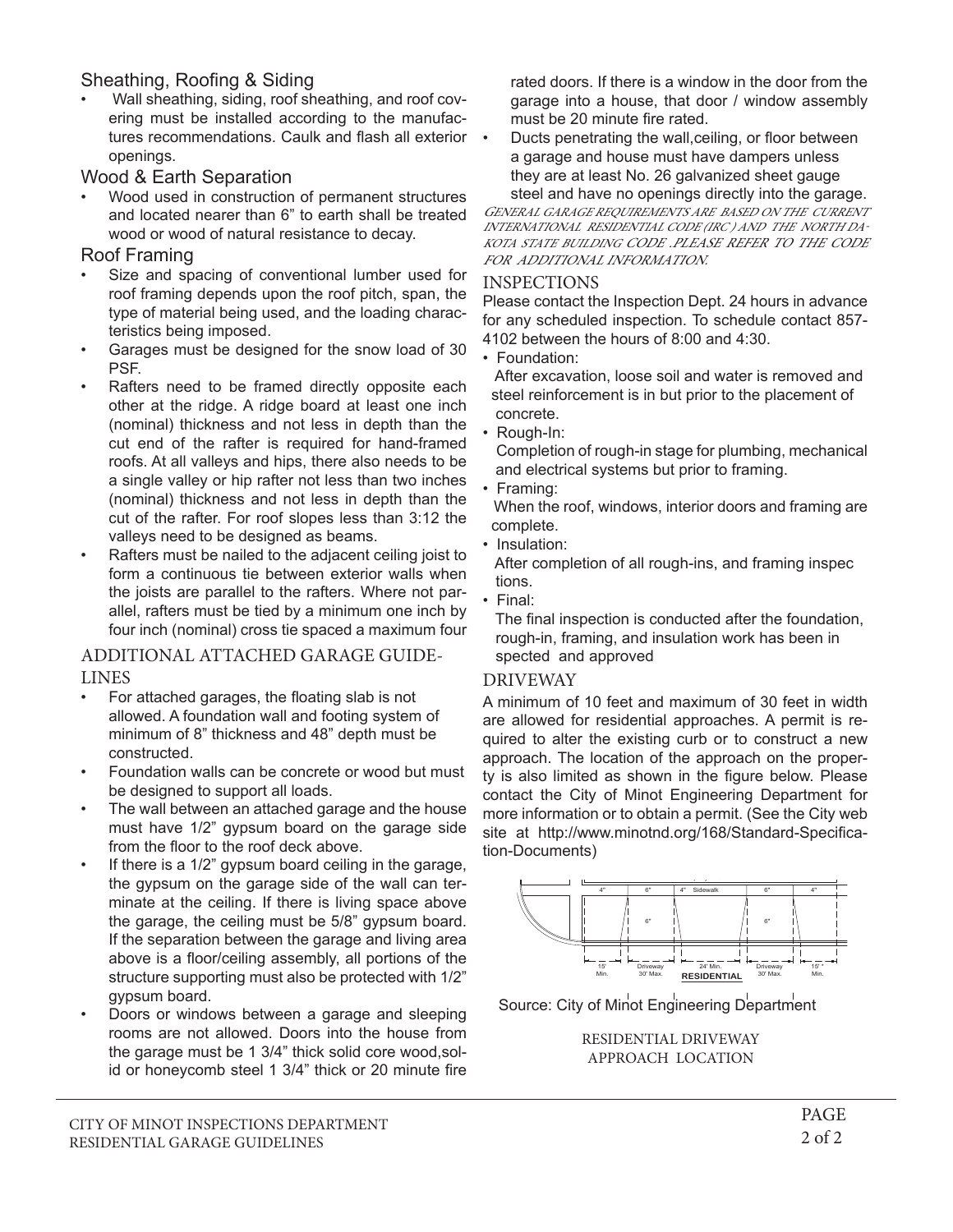# Sheathing, Roofing & Siding

• Wall sheathing, siding, roof sheathing, and roof covering must be installed according to the manufactures recommendations. Caulk and flash all exterior • openings.

## Wood & Earth Separation

Wood used in construction of permanent structures and located nearer than 6" to earth shall be treated wood or wood of natural resistance to decay.

## Roof Framing

- Size and spacing of conventional lumber used for roof framing depends upon the roof pitch, span, the type of material being used, and the loading characteristics being imposed.
- Garages must be designed for the snow load of 30 PSF.
- Rafters need to be framed directly opposite each other at the ridge. A ridge board at least one inch (nominal) thickness and not less in depth than the cut end of the rafter is required for hand-framed roofs. At all valleys and hips, there also needs to be a single valley or hip rafter not less than two inches (nominal) thickness and not less in depth than the cut of the rafter. For roof slopes less than 3:12 the valleys need to be designed as beams.
- Rafters must be nailed to the adjacent ceiling joist to form a continuous tie between exterior walls when the joists are parallel to the rafters. Where not parallel, rafters must be tied by a minimum one inch by four inch (nominal) cross tie spaced a maximum four

## ADDITIONAL ATTACHED GARAGE GUIDE-LINES

- For attached garages, the floating slab is not allowed. A foundation wall and footing system of minimum of 8" thickness and 48" depth must be constructed.
- Foundation walls can be concrete or wood but must be designed to support all loads.
- The wall between an attached garage and the house must have 1/2" gypsum board on the garage side from the floor to the roof deck above.
- If there is a 1/2" gypsum board ceiling in the garage, the gypsum on the garage side of the wall can terminate at the ceiling. If there is living space above the garage, the ceiling must be 5/8" gypsum board. If the separation between the garage and living area above is a floor/ceiling assembly, all portions of the structure supporting must also be protected with 1/2" gypsum board.
- Doors or windows between a garage and sleeping rooms are not allowed. Doors into the house from the garage must be 1 3/4" thick solid core wood,solid or honeycomb steel 1 3/4" thick or 20 minute fire

rated doors. If there is a window in the door from the garage into a house, that door / window assembly must be 20 minute fire rated.

• Ducts penetrating the wall,ceiling, or floor between a garage and house must have dampers unless they are at least No. 26 galvanized sheet gauge steel and have no openings directly into the garage. GENERAL GARAGE REQUIREMENTS ARE BASED ON THE CURRENT

INTERNATIONAL RESIDENTIAL CODE (IRC ) AND THE NORTH DA-KOTA STATE BUILDING CODE .PLEASE REFER TO THE CODE FOR ADDITIONAL INFORMATION.

### INSPECTIONS

Please contact the Inspection Dept. 24 hours in advance for any scheduled inspection. To schedule contact 857- 4102 between the hours of 8:00 and 4:30.

• Foundation:

 After excavation, loose soil and water is removed and steel reinforcement is in but prior to the placement of concrete.

• Rough-In:

 Completion of rough-in stage for plumbing, mechanical and electrical systems but prior to framing.

• Framing:

 When the roof, windows, interior doors and framing are complete.

• Insulation:

 After completion of all rough-ins, and framing inspec tions.

• Final:

 The final inspection is conducted after the foundation, rough-in, framing, and insulation work has been in spected and approved

# DRIVEWAY

A minimum of 10 feet and maximum of 30 feet in width are allowed for residential approaches. A permit is required to alter the existing curb or to construct a new approach. The location of the approach on the property is also limited as shown in the figure below. Please contact the City of Minot Engineering Department for more information or to obtain a permit. (See the City web site at http://www.minotnd.org/168/Standard-Specification-Documents)



Source: City of Minot Engineering Department

RESIDENTIAL DRIVEWAY APPROACH LOCATION

IHHWZLGHUWKDQWKHGRRUVRIDQH[LVWLQJRUSURSRVHGJDUDJH